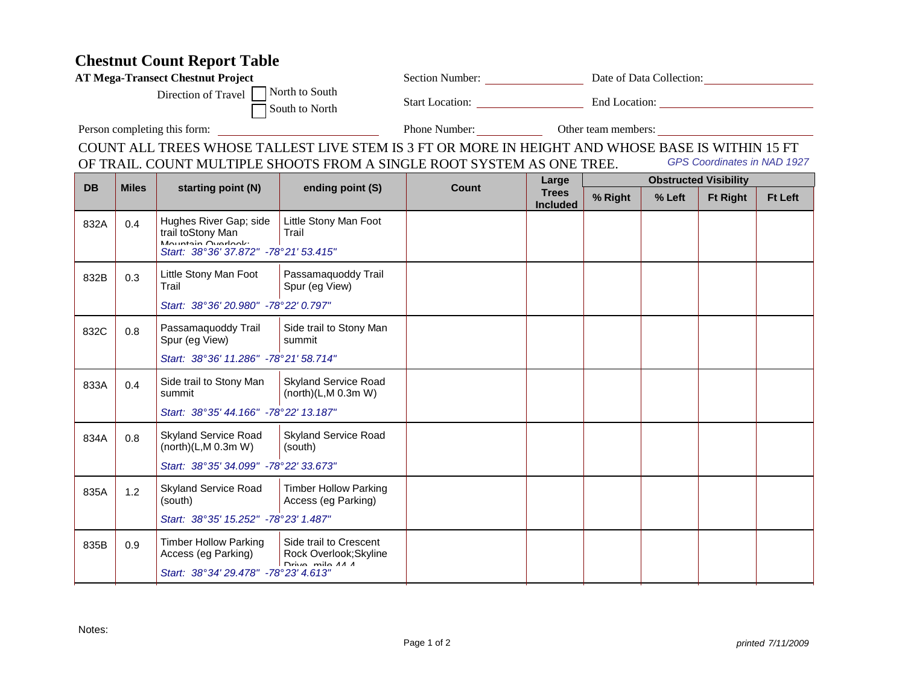## **Chestnut Count Report Table**

| <b>AT Mega-Transect Chestnut Project</b>  | <b>Section Number:</b>                   | Date of Data Collection: |  |
|-------------------------------------------|------------------------------------------|--------------------------|--|
| Direction of Travel $\Box$ North to South | <b>Start Location:</b><br>South to North | End Location:            |  |

Person completing this form:

Phone Number: <u>Camber Cother team members:</u>

COUNT ALL TREES WHOSE TALLEST LIVE STEM IS 3 FT OR MORE IN HEIGHT AND WHOSE BASE IS WITHIN 15 FT GPS Coordinates in NAD 1927OF TRAIL. COUNT MULTIPLE SHOOTS FROM A SINGLE ROOT SYSTEM AS ONE TREE.

| <b>DB</b> |              |                                                                                                            |                                                                     |              | Large                           | <b>Obstructed Visibility</b> |        |                 |                |
|-----------|--------------|------------------------------------------------------------------------------------------------------------|---------------------------------------------------------------------|--------------|---------------------------------|------------------------------|--------|-----------------|----------------|
|           | <b>Miles</b> | starting point (N)                                                                                         | ending point (S)                                                    | <b>Count</b> | <b>Trees</b><br><b>Included</b> | % Right                      | % Left | <b>Ft Right</b> | <b>Ft Left</b> |
| 832A      | 0.4          | Hughes River Gap; side<br>trail toStony Man<br>Mountain Overlook:<br>Start: 38°36' 37.872" -78°21' 53.415" | Little Stony Man Foot<br>Trail                                      |              |                                 |                              |        |                 |                |
| 832B      | 0.3          | Little Stony Man Foot<br>Trail<br>Start: 38°36' 20.980" -78°22' 0.797"                                     | Passamaquoddy Trail<br>Spur (eg View)                               |              |                                 |                              |        |                 |                |
| 832C      | 0.8          | Passamaquoddy Trail<br>Spur (eg View)<br>Start: 38°36' 11.286" -78°21' 58.714"                             | Side trail to Stony Man<br>summit                                   |              |                                 |                              |        |                 |                |
| 833A      | 0.4          | Side trail to Stony Man<br>summit<br>Start: 38°35' 44.166" -78°22' 13.187"                                 | <b>Skyland Service Road</b><br>(north)(L,M 0.3m W)                  |              |                                 |                              |        |                 |                |
| 834A      | 0.8          | <b>Skyland Service Road</b><br>(north)(L, M 0.3m W)<br>Start: 38°35' 34.099" -78°22' 33.673"               | <b>Skyland Service Road</b><br>(south)                              |              |                                 |                              |        |                 |                |
| 835A      | 1.2          | <b>Skyland Service Road</b><br>(south)<br>Start: 38°35' 15.252" -78°23' 1.487"                             | <b>Timber Hollow Parking</b><br>Access (eg Parking)                 |              |                                 |                              |        |                 |                |
| 835B      | 0.9          | <b>Timber Hollow Parking</b><br>Access (eg Parking)<br>Start: 38°34' 29.478" -78°23' 4.613"                | Side trail to Crescent<br>Rock Overlook; Skyline<br>Drive mile AA A |              |                                 |                              |        |                 |                |